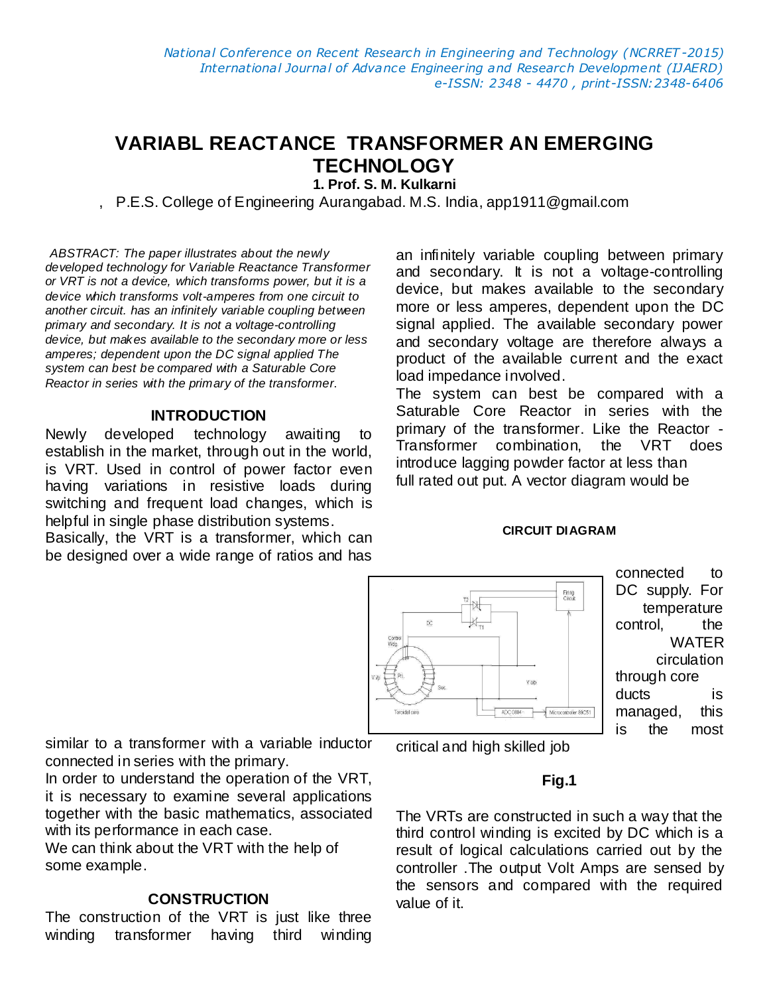# **VARIABL REACTANCE TRANSFORMER AN EMERGING TECHNOLOGY**

**1. Prof. S. M. Kulkarni** 

, P.E.S. College of Engineering Aurangabad. M.S. India, app1911@gmail.com

*ABSTRACT: The paper illustrates about the newly developed technology for Variable Reactance Transformer or VRT is not a device, which transforms power, but it is a device which transforms volt-amperes from one circuit to another circuit. has an infinitely variable coupling between primary and secondary. It is not a voltage-controlling device, but makes available to the secondary more or less amperes; dependent upon the DC signal applied The system can best be compared with a Saturable Core Reactor in series with the primary of the transformer*.

### **INTRODUCTION**

Newly developed technology awaiting to establish in the market, through out in the world, is VRT. Used in control of power factor even having variations in resistive loads during switching and frequent load changes, which is helpful in single phase distribution systems.

Basically, the VRT is a transformer, which can be designed over a wide range of ratios and has

an infinitely variable coupling between primary and secondary. It is not a voltage-controlling device, but makes available to the secondary more or less amperes, dependent upon the DC signal applied. The available secondary power and secondary voltage are therefore always a product of the available current and the exact load impedance involved.

The system can best be compared with a Saturable Core Reactor in series with the primary of the transformer. Like the Reactor - Transformer combination, the VRT does introduce lagging powder factor at less than full rated out put. A vector diagram would be

#### **CIRCUIT DIAGRAM**



connected to DC supply. For temperature control, the WATER circulation through core ducts is managed, this is the most

similar to a transformer with a variable inductor connected in series with the primary.

In order to understand the operation of the VRT, it is necessary to examine several applications together with the basic mathematics, associated with its performance in each case.

We can think about the VRT with the help of some example.

#### **CONSTRUCTION**

The construction of the VRT is just like three winding transformer having third winding critical and high skilled job

#### **Fig.1**

The VRTs are constructed in such a way that the third control winding is excited by DC which is a result of logical calculations carried out by the controller .The output Volt Amps are sensed by the sensors and compared with the required value of it.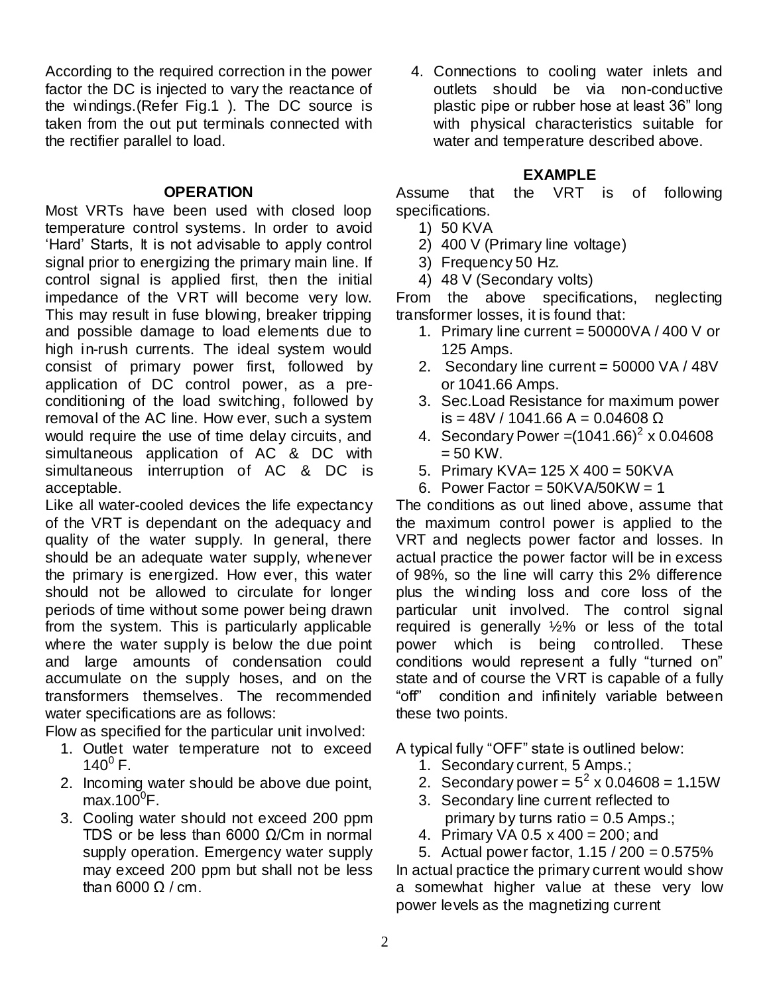According to the required correction in the power factor the DC is injected to vary the reactance of the windings.(Refer Fig.1 ). The DC source is taken from the out put terminals connected with the rectifier parallel to load.

## **OPERATION**

Most VRTs have been used with closed loop temperature control systems. In order to avoid 'Hard' Starts, It is not advisable to apply control signal prior to energizing the primary main line. If control signal is applied first, then the initial impedance of the VRT will become very low. This may result in fuse blowing, breaker tripping and possible damage to load elements due to high in-rush currents. The ideal system would consist of primary power first, followed by application of DC control power, as a preconditioning of the load switching, followed by removal of the AC line. How ever, such a system would require the use of time delay circuits, and simultaneous application of AC & DC with simultaneous interruption of AC & DC is acceptable.

Like all water-cooled devices the life expectancy of the VRT is dependant on the adequacy and quality of the water supply. In general, there should be an adequate water supply, whenever the primary is energized. How ever, this water should not be allowed to circulate for longer periods of time without some power being drawn from the system. This is particularly applicable where the water supply is below the due point and large amounts of condensation could accumulate on the supply hoses, and on the transformers themselves. The recommended water specifications are as follows:

Flow as specified for the particular unit involved:

- 1. Outlet water temperature not to exceed  $140^0$  F.
- 2. Incoming water should be above due point,  $max.100^{\circ}F$ .
- 3. Cooling water should not exceed 200 ppm TDS or be less than 6000 Ω/Cm in normal supply operation. Emergency water supply may exceed 200 ppm but shall not be less than 6000  $\Omega$  / cm.

4. Connections to cooling water inlets and outlets should be via non-conductive plastic pipe or rubber hose at least 36" long with physical characteristics suitable for water and temperature described above.

## **EXAMPLE**

Assume that the VRT is of following specifications.

- 1) 50 KVA
- 2) 400 V (Primary line voltage)
- 3) Frequency 50 Hz.
- 4) 48 V (Secondary volts)

From the above specifications, neglecting transformer losses, it is found that:

- 1. Primary line current =  $50000VA / 400 V$  or 125 Amps.
- 2. Secondary line current = 50000 VA / 48V or 1041.66 Amps.
- 3. Sec.Load Resistance for maximum power is = 48V / 1041.66 A = 0.04608 Ω
- 4. Secondary Power =  $(1041.66)^2$  x 0.04608  $= 50$  KW.
- 5. Primary KVA= 125 X 400 = 50KVA
- 6. Power Factor =  $50KVA/50KW = 1$

The conditions as out lined above, assume that the maximum control power is applied to the VRT and neglects power factor and losses. In actual practice the power factor will be in excess of 98%, so the line will carry this 2% difference plus the winding loss and core loss of the particular unit involved. The control signal required is generally ½% or less of the total power which is being controlled. These conditions would represent a fully "turned on" state and of course the VRT is capable of a fully "off" condition and infinitely variable between these two points.

A typical fully "OFF" state is outlined below:

- 1. Secondary current, 5 Amps.;
- 2. Secondary power =  $5^2 \times 0.04608 = 1.15W$
- 3. Secondary line current reflected to primary by turns ratio  $= 0.5$  Amps.:
- 4. Primary VA 0.5 x 400 = 200; and
- 5. Actual power factor,  $1.15 / 200 = 0.575\%$

In actual practice the primary current would show a somewhat higher value at these very low power levels as the magnetizing current